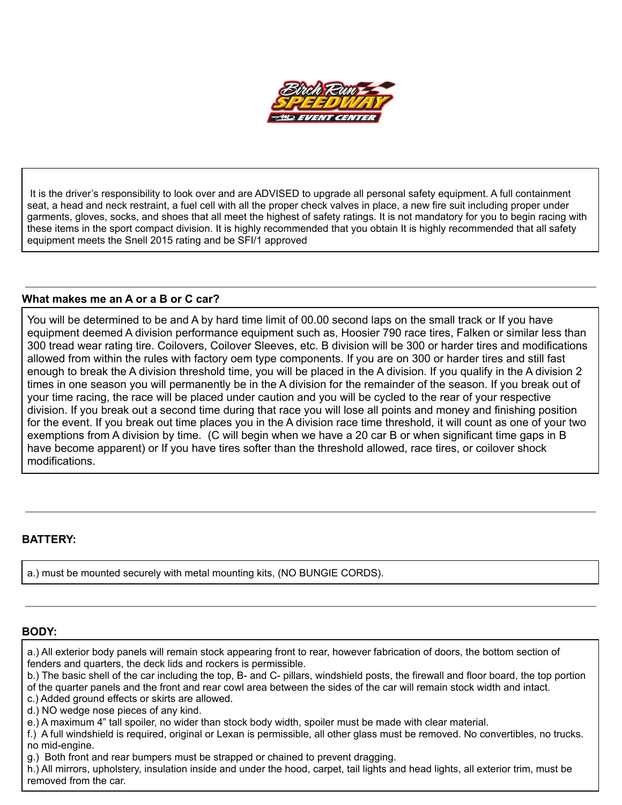

It is the driver's responsibility to look over and are ADVISED to upgrade all personal safety equipment. A full containment seat, a head and neck restraint, a fuel cell with all the proper check valves in place, a new fire suit including proper under garments, gloves, socks, and shoes that all meet the highest of safety ratings. It is not mandatory for you to begin racing with these items in the sport compact division. It is highly recommended that you obtain It is highly recommended that all safety equipment meets the Snell 2015 rating and be SFI/1 approved

#### **What makes me an A or a B or C car?**

You will be determined to be and A by hard time limit of 00.00 second laps on the small track or If you have equipment deemed A division performance equipment such as, Hoosier 790 race tires, Falken or similar less than 300 tread wear rating tire. Coilovers, Coilover Sleeves, etc. B division will be 300 or harder tires and modifications allowed from within the rules with factory oem type components. If you are on 300 or harder tires and still fast enough to break the A division threshold time, you will be placed in the A division. If you qualify in the A division 2 times in one season you will permanently be in the A division for the remainder of the season. If you break out of your time racing, the race will be placed under caution and you will be cycled to the rear of your respective division. If you break out a second time during that race you will lose all points and money and finishing position for the event. If you break out time places you in the A division race time threshold, it will count as one of your two exemptions from A division by time. (C will begin when we have a 20 car B or when significant time gaps in B have become apparent) or If you have tires softer than the threshold allowed, race tires, or coilover shock modifications.

### **BATTERY:**

a.) must be mounted securely with metal mounting kits, (NO BUNGIE CORDS).

## **BODY:**

a.) All exterior body panels will remain stock appearing front to rear, however fabrication of doors, the bottom section of fenders and quarters, the deck lids and rockers is permissible.

b.) The basic shell of the car including the top, B- and C- pillars, windshield posts, the firewall and floor board, the top portion of the quarter panels and the front and rear cowl area between the sides of the car will remain stock width and intact.

c.) Added ground effects or skirts are allowed.

d.) NO wedge nose pieces of any kind.

e.) A maximum 4" tall spoiler, no wider than stock body width, spoiler must be made with clear material.

f.) A full windshield is required, original or Lexan is permissible, all other glass must be removed. No convertibles, no trucks.

no mid-engine.

g.) Both front and rear bumpers must be strapped or chained to prevent dragging.

h.) All mirrors, upholstery, insulation inside and under the hood, carpet, tail lights and head lights, all exterior trim, must be removed from the car.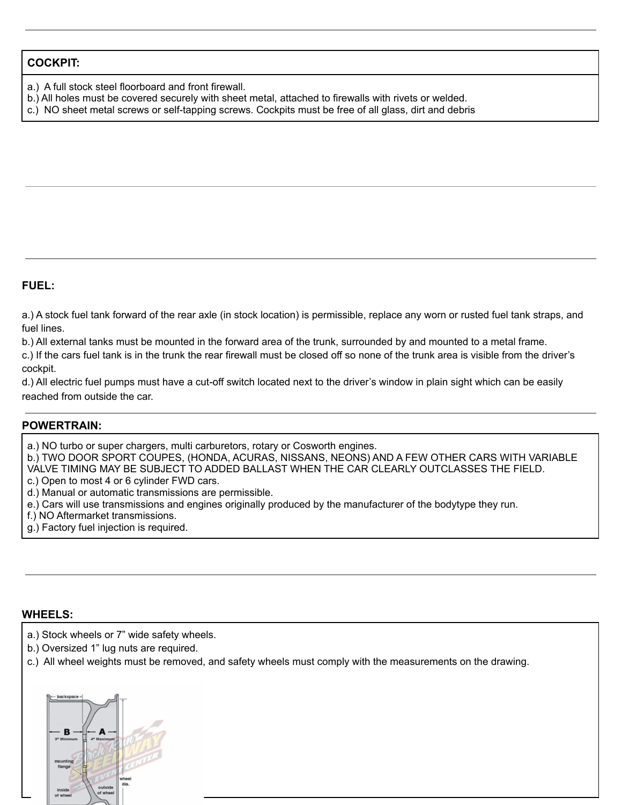### **COCKPIT:**

- a.) A full stock steel floorboard and front firewall.
- b.) All holes must be covered securely with sheet metal, attached to firewalls with rivets or welded.
- c.) NO sheet metal screws or self-tapping screws. Cockpits must be free of all glass, dirt and debris

### **FUEL:**

a.) A stock fuel tank forward of the rear axle (in stock location) is permissible, replace any worn or rusted fuel tank straps, and fuel lines.

b.) All external tanks must be mounted in the forward area of the trunk, surrounded by and mounted to a metal frame.

c.) If the cars fuel tank is in the trunk the rear firewall must be closed off so none of the trunk area is visible from the driver's cockpit.

d.) All electric fuel pumps must have a cut-off switch located next to the driver's window in plain sight which can be easily reached from outside the car.

### **POWERTRAIN:**

a.) NO turbo or super chargers, multi carburetors, rotary or Cosworth engines.

b.) TWO DOOR SPORT COUPES, (HONDA, ACURAS, NISSANS, NEONS) AND A FEW OTHER CARS WITH VARIABLE VALVE TIMING MAY BE SUBJECT TO ADDED BALLAST WHEN THE CAR CLEARLY OUTCLASSES THE FIELD.

c.) Open to most 4 or 6 cylinder FWD cars.

d.) Manual or automatic transmissions are permissible.

e.) Cars will use transmissions and engines originally produced by the manufacturer of the bodytype they run.

f.) NO Aftermarket transmissions.

g.) Factory fuel injection is required.

#### **WHEELS:**

a.) Stock wheels or 7" wide safety wheels.

- b.) Oversized 1" lug nuts are required.
- c.) All wheel weights must be removed, and safety wheels must comply with the measurements on the drawing.